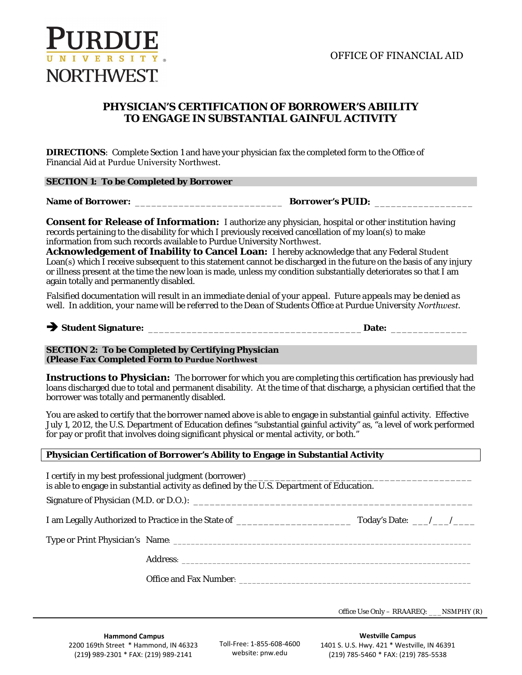

## **PHYSICIAN'S CERTIFICATION OF BORROWER'S ABIILITY TO ENGAGE IN SUBSTANTIAL GAINFUL ACTIVITY**

**DIRECTIONS**: Complete Section 1 and have your physician fax the completed form to the Office of Financial Aid at Purdue University Northwest.

| information from such records available to Purdue University Northwest.                                     | <b>Consent for Release of Information:</b> I authorize any physician, hospital or other institution having<br>records pertaining to the disability for which I previously received cancellation of my loan(s) to make<br>Acknowledgement of Inability to Cancel Loan: I hereby acknowledge that any Federal Student<br>Loan(s) which I receive subsequent to this statement cannot be discharged in the future on the basis of any injury |
|-------------------------------------------------------------------------------------------------------------|-------------------------------------------------------------------------------------------------------------------------------------------------------------------------------------------------------------------------------------------------------------------------------------------------------------------------------------------------------------------------------------------------------------------------------------------|
| again totally and permanently disabled.                                                                     | or illness present at the time the new loan is made, unless my condition substantially deteriorates so that I am                                                                                                                                                                                                                                                                                                                          |
|                                                                                                             | Falsified documentation will result in an immediate denial of your appeal. Future appeals may be denied as<br>well. In addition, your name will be referred to the Dean of Students Office at Purdue University Northwest.                                                                                                                                                                                                                |
|                                                                                                             |                                                                                                                                                                                                                                                                                                                                                                                                                                           |
| <b>SECTION 2: To be Completed by Certifying Physician</b><br>(Please Fax Completed Form to Purdue Northwest |                                                                                                                                                                                                                                                                                                                                                                                                                                           |
| borrower was totally and permanently disabled.                                                              | <b>Instructions to Physician:</b> The borrower for which you are completing this certification has previously had<br>loans discharged due to total and permanent disability. At the time of that discharge, a physician certified that the                                                                                                                                                                                                |
| for pay or profit that involves doing significant physical or mental activity, or both."                    | You are asked to certify that the borrower named above is able to engage in substantial gainful activity. Effective<br>July 1, 2012, the U.S. Department of Education defines "substantial gainful activity" as, "a level of work performed                                                                                                                                                                                               |
|                                                                                                             | Physician Certification of Borrower's Ability to Engage in Substantial Activity                                                                                                                                                                                                                                                                                                                                                           |
| I certify in my best professional judgment (borrower) ______                                                | is able to engage in substantial activity as defined by the U.S. Department of Education.                                                                                                                                                                                                                                                                                                                                                 |
|                                                                                                             |                                                                                                                                                                                                                                                                                                                                                                                                                                           |
|                                                                                                             |                                                                                                                                                                                                                                                                                                                                                                                                                                           |
|                                                                                                             |                                                                                                                                                                                                                                                                                                                                                                                                                                           |
|                                                                                                             |                                                                                                                                                                                                                                                                                                                                                                                                                                           |
|                                                                                                             |                                                                                                                                                                                                                                                                                                                                                                                                                                           |

Office Use Only – RRAAREQ: \_\_\_NSMPHY (R)

**Hammond Campus**  2200 169th Street \* Hammond, IN 46323 (219) 989-2301 \* FAX: (219) 989-2141

Toll-Free: 1-855-608-4600 website: pnw.edu

**Westville Campus**  1401 S. U.S. Hwy. 421 \* Westville, IN 46391 (219) 785-5460 \* FAX: (219) 785-5538